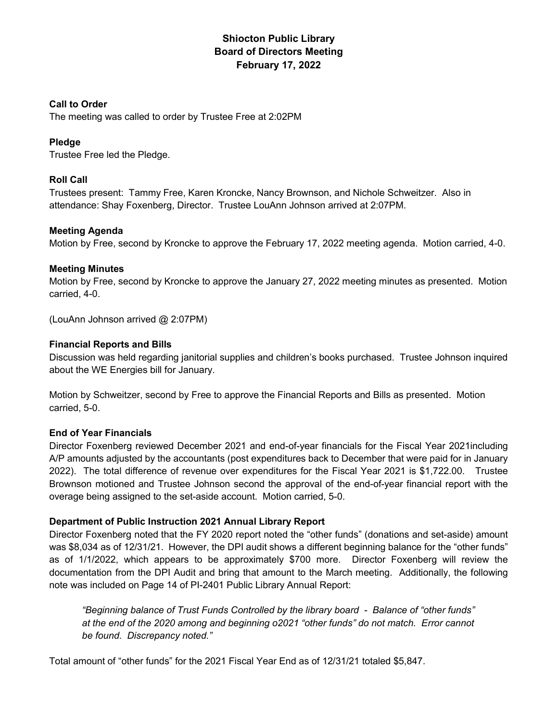# Shiocton Public Library Board of Directors Meeting February 17, 2022

# Call to Order

The meeting was called to order by Trustee Free at 2:02PM

# Pledge

Trustee Free led the Pledge.

# Roll Call

Trustees present: Tammy Free, Karen Kroncke, Nancy Brownson, and Nichole Schweitzer. Also in attendance: Shay Foxenberg, Director. Trustee LouAnn Johnson arrived at 2:07PM.

# Meeting Agenda

Motion by Free, second by Kroncke to approve the February 17, 2022 meeting agenda. Motion carried, 4-0.

# Meeting Minutes

Motion by Free, second by Kroncke to approve the January 27, 2022 meeting minutes as presented. Motion carried, 4-0.

(LouAnn Johnson arrived @ 2:07PM)

# Financial Reports and Bills

Discussion was held regarding janitorial supplies and children's books purchased. Trustee Johnson inquired about the WE Energies bill for January.

Motion by Schweitzer, second by Free to approve the Financial Reports and Bills as presented. Motion carried, 5-0.

# End of Year Financials

Director Foxenberg reviewed December 2021 and end-of-year financials for the Fiscal Year 2021including A/P amounts adjusted by the accountants (post expenditures back to December that were paid for in January 2022). The total difference of revenue over expenditures for the Fiscal Year 2021 is \$1,722.00. Trustee Brownson motioned and Trustee Johnson second the approval of the end-of-year financial report with the overage being assigned to the set-aside account. Motion carried, 5-0.

#### Department of Public Instruction 2021 Annual Library Report

Director Foxenberg noted that the FY 2020 report noted the "other funds" (donations and set-aside) amount was \$8,034 as of 12/31/21. However, the DPI audit shows a different beginning balance for the "other funds" as of 1/1/2022, which appears to be approximately \$700 more. Director Foxenberg will review the documentation from the DPI Audit and bring that amount to the March meeting. Additionally, the following note was included on Page 14 of PI-2401 Public Library Annual Report:

"Beginning balance of Trust Funds Controlled by the library board - Balance of "other funds" at the end of the 2020 among and beginning o2021 "other funds" do not match. Error cannot be found. Discrepancy noted."

Total amount of "other funds" for the 2021 Fiscal Year End as of 12/31/21 totaled \$5,847.